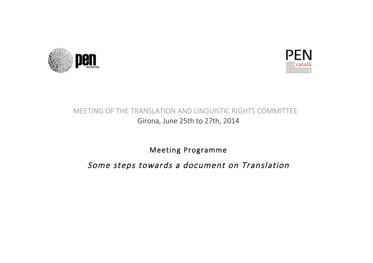



# MEETING OF THE TRANSLATION AND LINGUISTIC RIGHTS COMMITTEE Girona, June 25th to 27th, 2014

Meeting Programme

Some steps towards a document on Translation